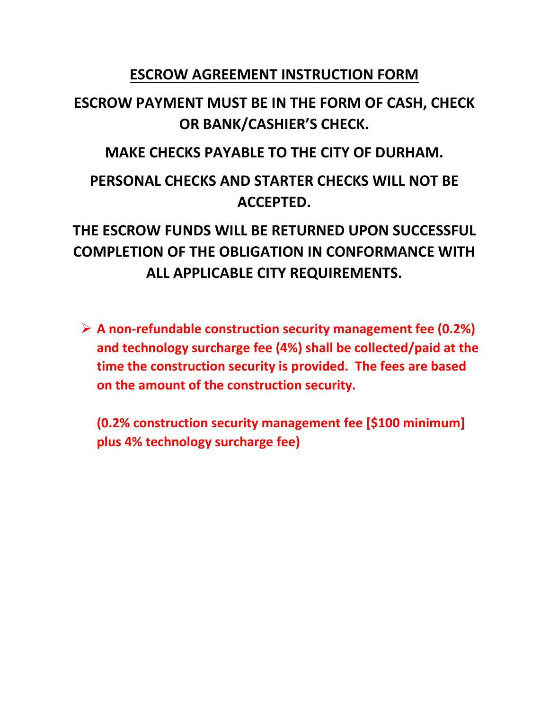#### **ESCROW AGREEMENT INSTRUCTION FORM**

## **ESCROW PAYMENT MUST BE IN THE FORM OF CASH, CHECK OR BANK/CASHIER'S CHECK.**

### **MAKE CHECKS PAYABLE TO THE CITY OF DURHAM.**

# **PERSONAL CHECKS AND STARTER CHECKS WILL NOT BE ACCEPTED.**

## **THE ESCROW FUNDS WILL BE RETURNED UPON SUCCESSFUL COMPLETION OF THE OBLIGATION IN CONFORMANCE WITH ALL APPLICABLE CITY REQUIREMENTS.**

 **A non-refundable construction security management fee (0.2%) and technology surcharge fee (4%) shall be collected/paid at the time the construction security is provided. The fees are based on the amount of the construction security.**

**(0.2% construction security management fee [\$100 minimum] plus 4% technology surcharge fee)**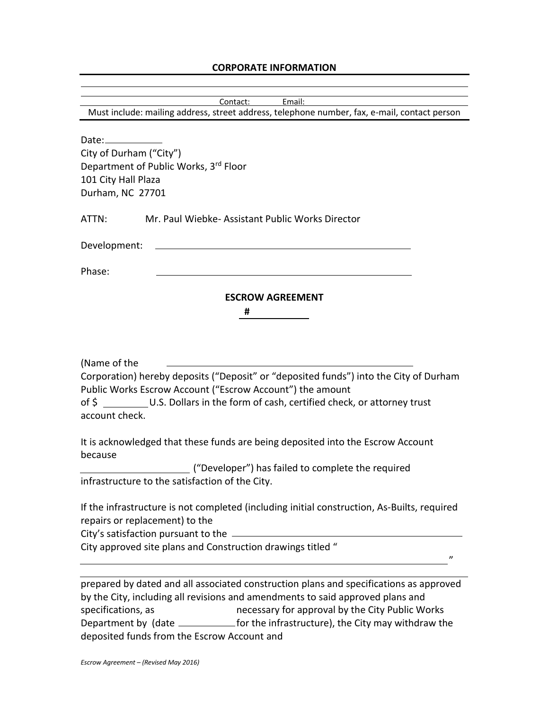#### **CORPORATE INFORMATION**

| Email:<br>Contact:                                                                                                                                                                                                                                                                               |
|--------------------------------------------------------------------------------------------------------------------------------------------------------------------------------------------------------------------------------------------------------------------------------------------------|
| Must include: mailing address, street address, telephone number, fax, e-mail, contact person                                                                                                                                                                                                     |
| Date:____________<br>City of Durham ("City")<br>Department of Public Works, 3rd Floor<br>101 City Hall Plaza<br>Durham, NC 27701                                                                                                                                                                 |
| Mr. Paul Wiebke- Assistant Public Works Director<br>ATTN:                                                                                                                                                                                                                                        |
| Development:                                                                                                                                                                                                                                                                                     |
| Phase:                                                                                                                                                                                                                                                                                           |
| <b>ESCROW AGREEMENT</b>                                                                                                                                                                                                                                                                          |
| #                                                                                                                                                                                                                                                                                                |
| (Name of the<br>Corporation) hereby deposits ("Deposit" or "deposited funds") into the City of Durham<br>Public Works Escrow Account ("Escrow Account") the amount<br>of \$ ________ U.S. Dollars in the form of cash, certified check, or attorney trust<br>account check.                      |
| It is acknowledged that these funds are being deposited into the Escrow Account<br>because                                                                                                                                                                                                       |
| ("Developer") has failed to complete the required<br>infrastructure to the satisfaction of the City.                                                                                                                                                                                             |
| If the infrastructure is not completed (including initial construction, As-Builts, required<br>repairs or replacement) to the                                                                                                                                                                    |
| City approved site plans and Construction drawings titled "<br>"                                                                                                                                                                                                                                 |
| prepared by dated and all associated construction plans and specifications as approved<br>by the City, including all revisions and amendments to said approved plans and<br>specifications, as<br>necessary for approval by the City Public Works<br>deposited funds from the Escrow Account and |